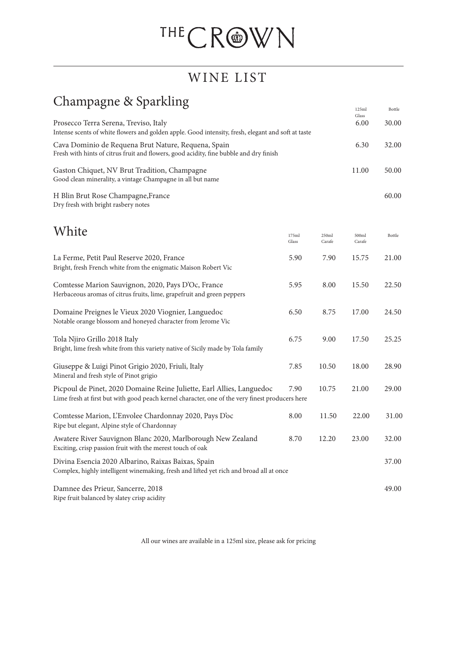## THECROWN

## WINE LIST

## Champagne & Sparkling

| $\overline{O}$<br>$\cdots$                                                                                                                                               |                |                 | 125ml<br>Glass  | Bottle |
|--------------------------------------------------------------------------------------------------------------------------------------------------------------------------|----------------|-----------------|-----------------|--------|
| Prosecco Terra Serena, Treviso, Italy<br>Intense scents of white flowers and golden apple. Good intensity, fresh, elegant and soft at taste                              |                |                 | 6.00            | 30.00  |
| Cava Dominio de Requena Brut Nature, Requena, Spain<br>Fresh with hints of citrus fruit and flowers, good acidity, fine bubble and dry finish                            |                |                 | 6.30            | 32.00  |
| Gaston Chiquet, NV Brut Tradition, Champagne<br>Good clean minerality, a vintage Champagne in all but name                                                               |                |                 | 11.00           | 50.00  |
| H Blin Brut Rose Champagne, France<br>Dry fresh with bright rasbery notes                                                                                                |                |                 |                 | 60.00  |
| White                                                                                                                                                                    | 175ml<br>Glass | 250ml<br>Carafe | 500ml<br>Carafe | Bottle |
| La Ferme, Petit Paul Reserve 2020, France<br>Bright, fresh French white from the enigmatic Maison Robert Vic                                                             | 5.90           | 7.90            | 15.75           | 21.00  |
| Comtesse Marion Sauvignon, 2020, Pays D'Oc, France<br>Herbaceous aromas of citrus fruits, lime, grapefruit and green peppers                                             | 5.95           | 8.00            | 15.50           | 22.50  |
| Domaine Preignes le Vieux 2020 Viognier, Languedoc<br>Notable orange blossom and honeyed character from Jerome Vic                                                       | 6.50           | 8.75            | 17.00           | 24.50  |
| Tola Njiro Grillo 2018 Italy<br>Bright, lime fresh white from this variety native of Sicily made by Tola family                                                          | 6.75           | 9.00            | 17.50           | 25.25  |
| Giuseppe & Luigi Pinot Grigio 2020, Friuli, Italy<br>Mineral and fresh style of Pinot grigio                                                                             | 7.85           | 10.50           | 18.00           | 28.90  |
| Picpoul de Pinet, 2020 Domaine Reine Juliette, Earl Allies, Languedoc<br>Lime fresh at first but with good peach kernel character, one of the very finest producers here | 7.90           | 10.75           | 21.00           | 29.00  |
| Comtesse Marion, L'Envolee Chardonnay 2020, Pays D'oc<br>Ripe but elegant, Alpine style of Chardonnay                                                                    | 8.00           | 11.50           | 22.00           | 31.00  |
| Awatere River Sauvignon Blanc 2020, Marlborough New Zealand<br>Exciting, crisp passion fruit with the merest touch of oak                                                | 8.70           | 12.20           | 23.00           | 32.00  |
| Divina Esencia 2020 Albarino, Raixas Baixas, Spain<br>Complex, highly intelligent winemaking, fresh and lifted yet rich and broad all at once                            |                |                 |                 | 37.00  |
| Damnee des Prieur, Sancerre, 2018<br>Ripe fruit balanced by slatey crisp acidity                                                                                         |                |                 |                 | 49.00  |

All our wines are available in a 125ml size, please ask for pricing